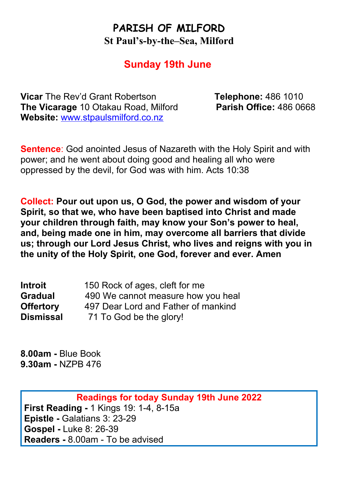# **PARISH OF MILFORD St Paul's-by-the–Sea, Milford**

## **Sunday 19th June**

**Vicar** The Rev'd Grant Robertson **Telephone:** 486 1010 **The Vicarage** 10 Otakau Road, Milford **Parish Office:** 486 0668 **Website:** [www.stpaulsmilford.co.nz](http://www.stpaulsmilford.co.nz/)

**Sentence**: God anointed Jesus of Nazareth with the Holy Spirit and with power; and he went about doing good and healing all who were oppressed by the devil, for God was with him. Acts 10:38

**Collect: Pour out upon us, O God, the power and wisdom of your Spirit, so that we, who have been baptised into Christ and made your children through faith, may know your Son's power to heal, and, being made one in him, may overcome all barriers that divide us; through our Lord Jesus Christ, who lives and reigns with you in the unity of the Holy Spirit, one God, forever and ever. Amen** 

| Introit          | 150 Rock of ages, cleft for me      |
|------------------|-------------------------------------|
| Gradual          | 490 We cannot measure how you heal  |
| <b>Offertory</b> | 497 Dear Lord and Father of mankind |
| <b>Dismissal</b> | 71 To God be the glory!             |

**8.00am -** Blue Book **9.30am -** NZPB 476

**Readings for today Sunday 19th June 2022**

**First Reading -** 1 Kings 19: 1-4, 8-15a **Epistle -** Galatians 3: 23-29 **Gospel -** Luke 8: 26-39 **Readers -** 8.00am - To be advised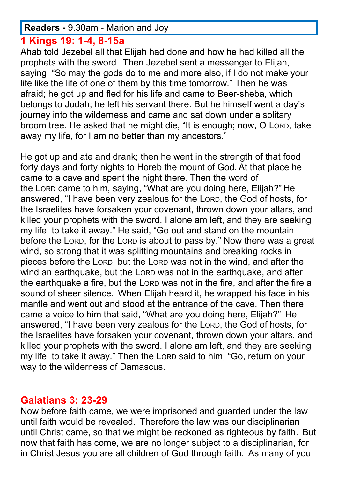**Readers -** 9.30am - Marion and Joy

## **1 Kings 19: 1-4, 8-15a**

Ahab told Jezebel all that Elijah had done and how he had killed all the prophets with the sword. Then Jezebel sent a messenger to Elijah, saying, "So may the gods do to me and more also, if I do not make your life like the life of one of them by this time tomorrow." Then he was afraid; he got up and fled for his life and came to Beer-sheba, which belongs to Judah; he left his servant there. But he himself went a day's journey into the wilderness and came and sat down under a solitary broom tree. He asked that he might die, "It is enough; now, O LORD, take away my life, for I am no better than my ancestors."

He got up and ate and drank; then he went in the strength of that food forty days and forty nights to Horeb the mount of God. At that place he came to a cave and spent the night there. Then the word of the LORD came to him, saying, "What are you doing here, Elijah?" He answered, "I have been very zealous for the LORD, the God of hosts, for the Israelites have forsaken your covenant, thrown down your altars, and killed your prophets with the sword. I alone am left, and they are seeking my life, to take it away." He said, "Go out and stand on the mountain before the LORD, for the LORD is about to pass by." Now there was a great wind, so strong that it was splitting mountains and breaking rocks in pieces before the LORD, but the LORD was not in the wind, and after the wind an earthquake, but the LORD was not in the earthquake, and after the earthquake a fire, but the LORD was not in the fire, and after the fire a sound of sheer silence. When Elijah heard it, he wrapped his face in his mantle and went out and stood at the entrance of the cave. Then there came a voice to him that said, "What are you doing here, Elijah?" He answered, "I have been very zealous for the LORD, the God of hosts, for the Israelites have forsaken your covenant, thrown down your altars, and killed your prophets with the sword. I alone am left, and they are seeking my life, to take it away." Then the LORD said to him, "Go, return on your way to the wilderness of Damascus.

## **Galatians 3: 23-29**

Now before faith came, we were imprisoned and guarded under the law until faith would be revealed. Therefore the law was our disciplinarian until Christ came, so that we might be reckoned as righteous by faith. But now that faith has come, we are no longer subject to a disciplinarian, for in Christ Jesus you are all children of God through faith. As many of you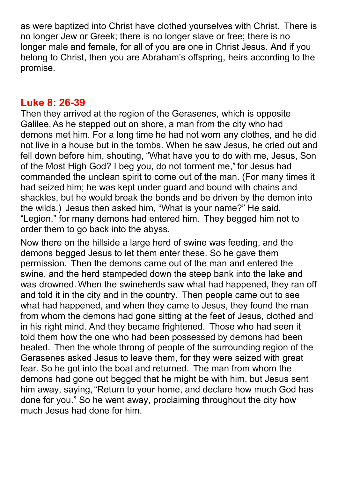as were baptized into Christ have clothed yourselves with Christ. There is no longer Jew or Greek; there is no longer slave or free; there is no longer male and female, for all of you are one in Christ Jesus. And if you belong to Christ, then you are Abraham's offspring, heirs according to the promise.

### **Luke 8: 26-39**

Then they arrived at the region of the Gerasenes, which is opposite Galilee.As he stepped out on shore, a man from the city who had demons met him. For a long time he had not worn any clothes, and he did not live in a house but in the tombs. When he saw Jesus, he cried out and fell down before him, shouting, "What have you to do with me, Jesus, Son of the Most High God? I beg you, do not torment me," for Jesus had commanded the unclean spirit to come out of the man. (For many times it had seized him; he was kept under guard and bound with chains and shackles, but he would break the bonds and be driven by the demon into the wilds.) Jesus then asked him, "What is your name?" He said, "Legion," for many demons had entered him. They begged him not to order them to go back into the abyss.

Now there on the hillside a large herd of swine was feeding, and the demons begged Jesus to let them enter these. So he gave them permission. Then the demons came out of the man and entered the swine, and the herd stampeded down the steep bank into the lake and was drowned. When the swineherds saw what had happened, they ran off and told it in the city and in the country. Then people came out to see what had happened, and when they came to Jesus, they found the man from whom the demons had gone sitting at the feet of Jesus, clothed and in his right mind. And they became frightened. Those who had seen it told them how the one who had been possessed by demons had been healed. Then the whole throng of people of the surrounding region of the Gerasenes asked Jesus to leave them, for they were seized with great fear. So he got into the boat and returned. The man from whom the demons had gone out begged that he might be with him, but Jesus sent him away, saying, "Return to your home, and declare how much God has done for you." So he went away, proclaiming throughout the city how much Jesus had done for him.